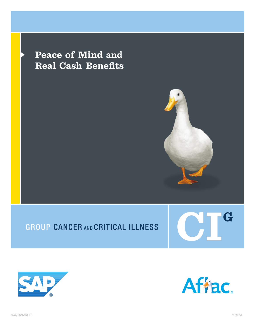**Peace of Mind and Real Cash Benefits**







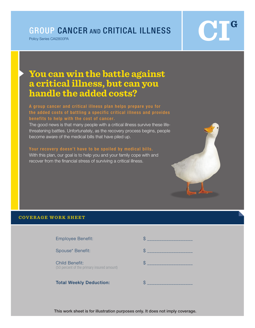# GROUP CANCER AND CRITICAL ILLNESS

Policy Series CAI2800PA

# **CIG**

# **You can win the battle against a critical illness, but can you handle the added costs?**

# A group cancer and critical illness plan helps prepare you for the added costs of battling a specific critical illness and provides benefits to help with the cost of cancer.

The good news is that many people with a critical illness survive these lifethreatening battles. Unfortunately, as the recovery process begins, people become aware of the medical bills that have piled up.

# Your recovery doesn't have to be spoiled by medical bills.

With this plan, our goal is to help you and your family cope with and recover from the financial stress of surviving a critical illness.



# **COVERAGE WORK SHEET**

Employee Benefit: \$ \_\_\_\_\_\_\_\_\_\_\_\_\_\_\_\_\_\_\_

Child Benefit:  $$$ (50 percent of the primary insured amount)

Total Weekly Deduction:  $\qquad \qquad$ 



This work sheet is for illustration purposes only. It does not imply coverage.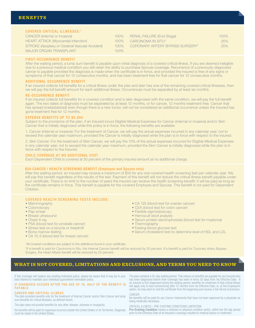# COVERED CRITICAL ILLNESSES:<sup>1</sup>

CANCER (Internal or Invasive) 100% HEART ATTACK (Myocardial Infarction) 100% STROKE (Apoplexy or Cerebral Vascular Accident) 100% MAJOR ORGAN TRANSPLANT 100% RENAL FAILURE (End-Stage) 100% CARCINOMA IN SITU<sup>2</sup> 25% CORONARY ARTERY BYPASS SURGERY<sup>2</sup> 25%

# FIRST-OCCURRENCE BENEFIT

After the waiting period, a lump sum benefit is payable upon initial diagnosis of a covered critical illness. If you are deemed ineligible due to a previous medical condition you still retain the ability to purchase Spouse coverage. Recurrence of a previously diagnosed cancer is payable provided the diagnosis is made when the certificate is in-force, and provided the insured is free of any signs or symptoms of that cancer for 12 consecutive months, and has been treatment-free for that cancer for 12 consecutive months.

## ADDITIONAL OCCURRENCE BENEFIT

If an insured collects full benefits for a critical illness under the plan and later has one of the remaining covered critical illnesses, then we will pay the full benefit amount for each additional illness. Occurrences must be separated by at least six months.

## RE-OCCURRENCE BENEFIT

If an insured collects full benefits for a covered condition and is later diagnosed with the same condition, we will pay the full benefit again. The two dates of diagnosis must be separated by at least 12 months, or for cancer, 12 months treatment free. Cancer that has spread (metastasized) even though there is a new tumor, will not be considered an additional occurrence unless the Insured has gone treatment free for 12 months.

# EXPENSE BENEFITS UP TO \$5,000

Subject to the provisions of the plan, if an Insured incurs Eligible Medical Expenses for Cancer (internal or invasive) and/or Skin Cancer that is initially diagnosed while this policy is in force, the following benefits are available:

1. Cancer (internal or invasive): For the treatment of Cancer, we will pay the actual expenses incurred in any calendar year, not to exceed the calendar year maximum, provided the Cancer is initially diagnosed while the plan is in force with respect to the insured.

2. Skin Cancer: For the treatment of Skin Cancer, we will pay the 10% of the actual expenses incurred for Eligible Medical Expenses in any calendar year, not to exceed the calendar year maximum, provided the Skin Cancer is initially diagnosed while the plan is in force with respect to the Insured.

# CHILD COVERAGE AT NO ADDITIONAL COST

Each Dependent Child is covered at 50 percent of the primary insured amount at no additional charge.

## \$50 CANCER / HEALTH SCREENING BENEFIT (Employee and Spouse only)

After the waiting period, an insured may receive a maximum of \$50 for any one covered health screening test per calendar year. We will pay this benefit regardless of the results of the test. Payment of this benefit will not reduce the critical illness benefit payable under your certificate. There is no limit to the number of years the insured can receive the health screening benefit; it will be paid as long as the certificate remains in force. This benefit is payable for the covered Employee and Spouse. This benefit is not paid for Dependent Children.

# COVERED HEALTH SCREENING TESTS INCLUDE:

- Mammography
- Colonoscopy
- Pap smear
- Breast ultrasound
- Chest X-ray
- PSA (blood test for prostate cancer)
- Stress test on a bicycle or treadmill
- Bone marrow testing
- CA 15-3 (blood test for breast cancer)
- CA 125 (blood test for ovarian cancer)
- CEA (blood test for colon cancer)
- Flexible sigmoidoscopy
- Hemocult stool analysis
- Serum protein electrophoresis (blood test for myeloma)
- Thermography
- Fasting blood glucose test
- Serum cholesterol test to determine level of HDL and LDL

2 If a benefit is paid for Carcinoma in Situ, the Internal Cancer benefit will be reduced by 25 percent. If a benefit is paid for Coronary Artery Bypass Surgery, the Heart Attack benefit will be reduced by 25 percent.

# **WHAT IS NOT COVERED, LIMITATIONS AND EXCLUSIONS, AND TERMS YOU NEED TO KNOW**

If this coverage will replace any existing individual policy, please be aware that it may be in your best interest to maintain your individual guaranteed-renewable policy.

<sup>1</sup>All covered conditions are subject to the definitions found in your certificate.

IF DIAGNOSIS OCCURS AFTER THE AGE OF 70, HALF OF THE BENEFIT IS PAYABLE.

#### CANCER AND CRITICAL ILLNESS

The plan provides benefits only for the treatment of Internal Cancer and/or Skin Cancer and lump sum benefits for critical illnesses, as defined herein.

The plan does not provide benefits for any other disease, sickness or incapacity.

No benefits will be paid for expenses incurred outside the United States or its Territories. Diagnosis must be made in the United States.

The plan contains a 30-day waiting period. This means no benefits are payable for any Insured who has been diagnosed before their coverage has been in force 30 days from his Effective Date. If an insured is first diagnosed during the waiting period, benefits for treatment of that critical illness will apply only to loss commencing after 12 months from his Effective Date; or, at the Employee's option, he may elect to void the certificate from the beginning and receive a full refund of premium. CANCER

No benefits will be paid for any Cancer treatments that have not been approved by a physician as being medically necessary.

CRITICAL ILLNESS – PRE-EXISTING CONDITIONS LIMITATION

Pre-Existing Condition means a sickness or physical condition which, within the 90-day period prior to the Effective Date of an Insured's coverage resulted in medical advice or treatment.